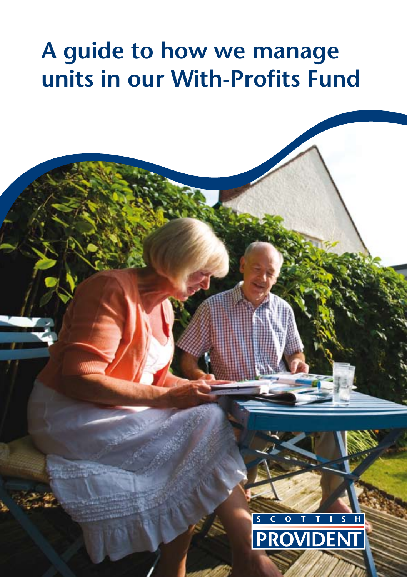# **A guide to how we manage units in our With-Profits Fund**

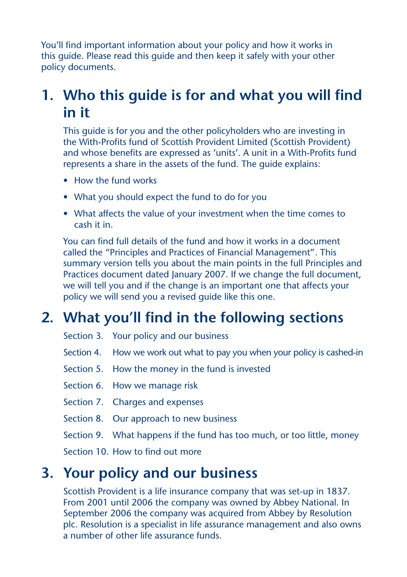You'll find important information about your policy and how it works in this guide. Please read this guide and then keep it safely with your other policy documents.

# **1. Who this guide is for and what you will find in it**

 This guide is for you and the other policyholders who are investing in the With-Profits fund of Scottish Provident Limited (Scottish Provident) and whose benefits are expressed as 'units'. A unit in a With-Profits fund represents a share in the assets of the fund. The guide explains:

- How the fund works
- What you should expect the fund to do for you
- What affects the value of your investment when the time comes to cash it in.

 You can find full details of the fund and how it works in a document called the "Principles and Practices of Financial Management". This summary version tells you about the main points in the full Principles and Practices document dated January 2007. If we change the full document, we will tell you and if the change is an important one that affects your policy we will send you a revised guide like this one.

# **2. What you'll find in the following sections**

- Section 3. Your policy and our business
- Section 4. How we work out what to pay you when your policy is cashed-in
- Section 5. How the money in the fund is invested
- Section 6. How we manage risk
- Section 7. Charges and expenses
- Section 8. Our approach to new business
- Section 9. What happens if the fund has too much, or too little, money

Section 10. How to find out more

### **3. Your policy and our business**

 Scottish Provident is a life insurance company that was set-up in 1837. From 2001 until 2006 the company was owned by Abbey National. In September 2006 the company was acquired from Abbey by Resolution plc. Resolution is a specialist in life assurance management and also owns a number of other life assurance funds.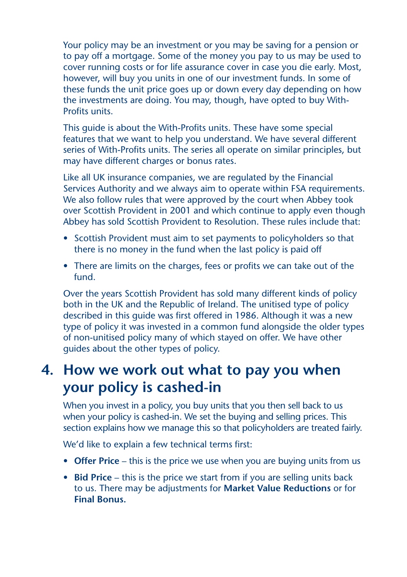Your policy may be an investment or you may be saving for a pension or to pay off a mortgage. Some of the money you pay to us may be used to cover running costs or for life assurance cover in case you die early. Most, however, will buy you units in one of our investment funds. In some of these funds the unit price goes up or down every day depending on how the investments are doing. You may, though, have opted to buy With-Profits units.

 This guide is about the With-Profits units. These have some special features that we want to help you understand. We have several different series of With-Profits units. The series all operate on similar principles, but may have different charges or bonus rates.

 Like all UK insurance companies, we are regulated by the Financial Services Authority and we always aim to operate within FSA requirements. We also follow rules that were approved by the court when Abbey took over Scottish Provident in 2001 and which continue to apply even though Abbey has sold Scottish Provident to Resolution. These rules include that:

- Scottish Provident must aim to set payments to policyholders so that there is no money in the fund when the last policy is paid off
- There are limits on the charges, fees or profits we can take out of the fund.

 Over the years Scottish Provident has sold many different kinds of policy both in the UK and the Republic of Ireland. The unitised type of policy described in this guide was first offered in 1986. Although it was a new type of policy it was invested in a common fund alongside the older types of non-unitised policy many of which stayed on offer. We have other guides about the other types of policy.

### **4. How we work out what to pay you when your policy is cashed-in**

 When you invest in a policy, you buy units that you then sell back to us when your policy is cashed-in. We set the buying and selling prices. This section explains how we manage this so that policyholders are treated fairly.

We'd like to explain a few technical terms first:

- **Offer Price** this is the price we use when you are buying units from us
- **Bid Price** this is the price we start from if you are selling units back to us. There may be adjustments for **Market Value Reductions** or for **Final Bonus.**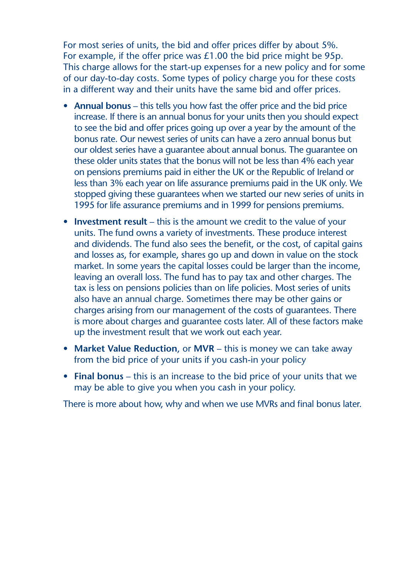For most series of units, the bid and offer prices differ by about 5%. For example, if the offer price was  $£1.00$  the bid price might be  $95p$ . This charge allows for the start-up expenses for a new policy and for some of our day-to-day costs. Some types of policy charge you for these costs in a different way and their units have the same bid and offer prices.

- **Annual bonus** this tells you how fast the offer price and the bid price increase. If there is an annual bonus for your units then you should expect to see the bid and offer prices going up over a year by the amount of the bonus rate. Our newest series of units can have a zero annual bonus but our oldest series have a guarantee about annual bonus. The guarantee on these older units states that the bonus will not be less than 4% each year on pensions premiums paid in either the UK or the Republic of Ireland or less than 3% each year on life assurance premiums paid in the UK only. We stopped giving these guarantees when we started our new series of units in 1995 for life assurance premiums and in 1999 for pensions premiums.
- **Investment result** this is the amount we credit to the value of your units. The fund owns a variety of investments. These produce interest and dividends. The fund also sees the benefit, or the cost, of capital gains and losses as, for example, shares go up and down in value on the stock market. In some years the capital losses could be larger than the income, leaving an overall loss. The fund has to pay tax and other charges. The tax is less on pensions policies than on life policies. Most series of units also have an annual charge. Sometimes there may be other gains or charges arising from our management of the costs of guarantees. There is more about charges and guarantee costs later. All of these factors make up the investment result that we work out each year.
- **Market Value Reduction**, or **MVR** this is money we can take away from the bid price of your units if you cash-in your policy
- **Final bonus** this is an increase to the bid price of your units that we may be able to give you when you cash in your policy.

There is more about how, why and when we use MVRs and final bonus later.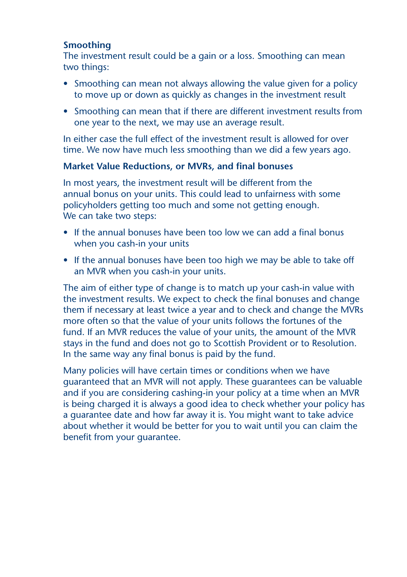### **Smoothing**

 The investment result could be a gain or a loss. Smoothing can mean two things:

- Smoothing can mean not always allowing the value given for a policy to move up or down as quickly as changes in the investment result
- Smoothing can mean that if there are different investment results from one year to the next, we may use an average result.

 In either case the full effect of the investment result is allowed for over time. We now have much less smoothing than we did a few years ago.

### **Market Value Reductions, or MVRs, and final bonuses**

 In most years, the investment result will be different from the annual bonus on your units. This could lead to unfairness with some policyholders getting too much and some not getting enough. We can take two steps:

- If the annual bonuses have been too low we can add a final bonus when you cash-in your units
- If the annual bonuses have been too high we may be able to take off an MVR when you cash-in your units.

 The aim of either type of change is to match up your cash-in value with the investment results. We expect to check the final bonuses and change them if necessary at least twice a year and to check and change the MVRs more often so that the value of your units follows the fortunes of the fund. If an MVR reduces the value of your units, the amount of the MVR stays in the fund and does not go to Scottish Provident or to Resolution. In the same way any final bonus is paid by the fund.

 Many policies will have certain times or conditions when we have guaranteed that an MVR will not apply. These guarantees can be valuable and if you are considering cashing-in your policy at a time when an MVR is being charged it is always a good idea to check whether your policy has a guarantee date and how far away it is. You might want to take advice about whether it would be better for you to wait until you can claim the benefit from your guarantee.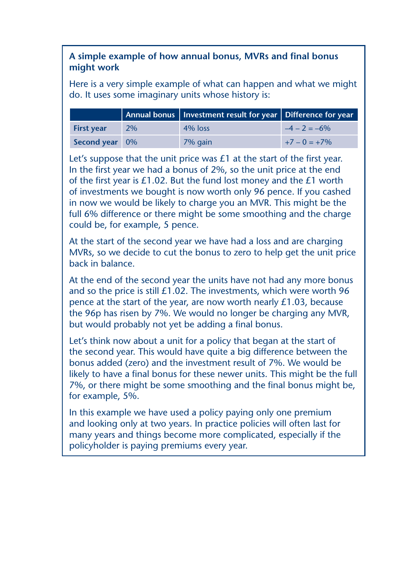### **A simple example of how annual bonus, MVRs and final bonus might work**

Here is a very simple example of what can happen and what we might do. It uses some imaginary units whose history is:

|                   |           | Annual bonus   Investment result for year   Difference for year |                 |
|-------------------|-----------|-----------------------------------------------------------------|-----------------|
| <b>First year</b> | <b>2%</b> | $4\%$ loss                                                      | $-4 - 2 = -6\%$ |
| Second year 0%    |           | 7% gain                                                         | $+7 - 0 = +7\%$ |

Let's suppose that the unit price was £1 at the start of the first year. In the first year we had a bonus of 2%, so the unit price at the end of the first year is  $£1.02$ . But the fund lost money and the  $£1$  worth of investments we bought is now worth only 96 pence. If you cashed in now we would be likely to charge you an MVR. This might be the full 6% difference or there might be some smoothing and the charge could be, for example, 5 pence.

At the start of the second year we have had a loss and are charging MVRs, so we decide to cut the bonus to zero to help get the unit price back in balance.

At the end of the second year the units have not had any more bonus and so the price is still £1.02. The investments, which were worth 96 pence at the start of the year, are now worth nearly £1.03, because the 96p has risen by 7%. We would no longer be charging any MVR, but would probably not yet be adding a final bonus.

Let's think now about a unit for a policy that began at the start of the second year. This would have quite a big difference between the bonus added (zero) and the investment result of 7%. We would be likely to have a final bonus for these newer units. This might be the full 7%, or there might be some smoothing and the final bonus might be, for example, 5%.

In this example we have used a policy paying only one premium and looking only at two years. In practice policies will often last for many years and things become more complicated, especially if the policyholder is paying premiums every year.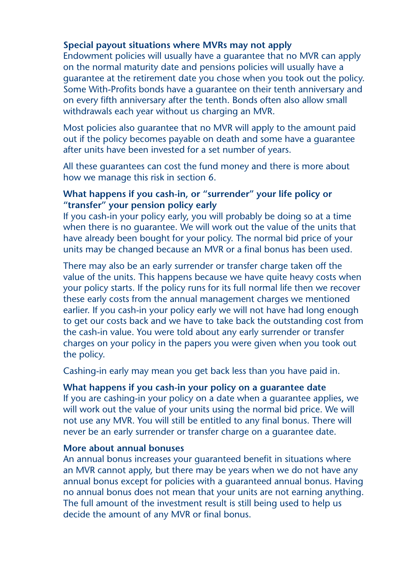### **Special payout situations where MVRs may not apply**

 Endowment policies will usually have a guarantee that no MVR can apply on the normal maturity date and pensions policies will usually have a guarantee at the retirement date you chose when you took out the policy. Some With-Profits bonds have a guarantee on their tenth anniversary and on every fifth anniversary after the tenth. Bonds often also allow small withdrawals each year without us charging an MVR.

 Most policies also guarantee that no MVR will apply to the amount paid out if the policy becomes payable on death and some have a guarantee after units have been invested for a set number of years.

 All these guarantees can cost the fund money and there is more about how we manage this risk in section 6.

### **What happens if you cash-in, or "surrender" your life policy or "transfer" your pension policy early**

 If you cash-in your policy early, you will probably be doing so at a time when there is no guarantee. We will work out the value of the units that have already been bought for your policy. The normal bid price of your units may be changed because an MVR or a final bonus has been used.

 There may also be an early surrender or transfer charge taken off the value of the units. This happens because we have quite heavy costs when your policy starts. If the policy runs for its full normal life then we recover these early costs from the annual management charges we mentioned earlier. If you cash-in your policy early we will not have had long enough to get our costs back and we have to take back the outstanding cost from the cash-in value. You were told about any early surrender or transfer charges on your policy in the papers you were given when you took out the policy.

Cashing-in early may mean you get back less than you have paid in.

### **What happens if you cash-in your policy on a guarantee date**

 If you are cashing-in your policy on a date when a guarantee applies, we will work out the value of your units using the normal bid price. We will not use any MVR. You will still be entitled to any final bonus. There will never be an early surrender or transfer charge on a guarantee date.

#### **More about annual bonuses**

 An annual bonus increases your guaranteed benefit in situations where an MVR cannot apply, but there may be years when we do not have any annual bonus except for policies with a guaranteed annual bonus. Having no annual bonus does not mean that your units are not earning anything. The full amount of the investment result is still being used to help us decide the amount of any MVR or final bonus.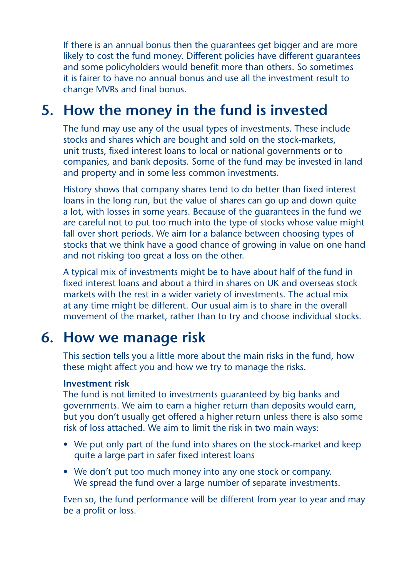If there is an annual bonus then the guarantees get bigger and are more likely to cost the fund money. Different policies have different guarantees and some policyholders would benefit more than others. So sometimes it is fairer to have no annual bonus and use all the investment result to change MVRs and final bonus.

### **5. How the money in the fund is invested**

 The fund may use any of the usual types of investments. These include stocks and shares which are bought and sold on the stock-markets, unit trusts, fixed interest loans to local or national governments or to companies, and bank deposits. Some of the fund may be invested in land and property and in some less common investments.

 History shows that company shares tend to do better than fixed interest loans in the long run, but the value of shares can go up and down quite a lot, with losses in some years. Because of the guarantees in the fund we are careful not to put too much into the type of stocks whose value might fall over short periods. We aim for a balance between choosing types of stocks that we think have a good chance of growing in value on one hand and not risking too great a loss on the other.

 A typical mix of investments might be to have about half of the fund in fixed interest loans and about a third in shares on UK and overseas stock markets with the rest in a wider variety of investments. The actual mix at any time might be different. Our usual aim is to share in the overall movement of the market, rather than to try and choose individual stocks.

### **6. How we manage risk**

 This section tells you a little more about the main risks in the fund, how these might affect you and how we try to manage the risks.

#### **Investment risk**

 The fund is not limited to investments guaranteed by big banks and governments. We aim to earn a higher return than deposits would earn, but you don't usually get offered a higher return unless there is also some risk of loss attached. We aim to limit the risk in two main ways:

- We put only part of the fund into shares on the stock-market and keep quite a large part in safer fixed interest loans
- We don't put too much money into any one stock or company. We spread the fund over a large number of separate investments.

 Even so, the fund performance will be different from year to year and may be a profit or loss.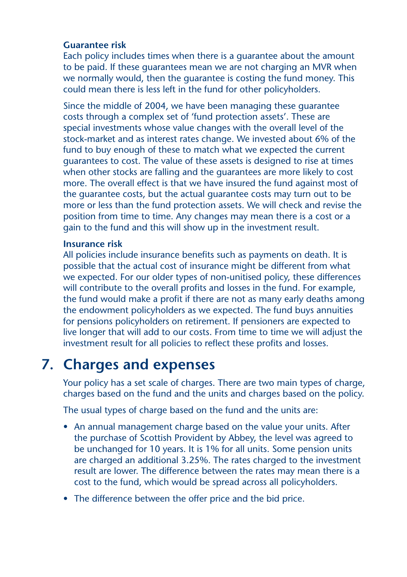### **Guarantee risk**

 Each policy includes times when there is a guarantee about the amount to be paid. If these guarantees mean we are not charging an MVR when we normally would, then the guarantee is costing the fund money. This could mean there is less left in the fund for other policyholders.

 Since the middle of 2004, we have been managing these guarantee costs through a complex set of 'fund protection assets'. These are special investments whose value changes with the overall level of the stock-market and as interest rates change. We invested about 6% of the fund to buy enough of these to match what we expected the current guarantees to cost. The value of these assets is designed to rise at times when other stocks are falling and the guarantees are more likely to cost more. The overall effect is that we have insured the fund against most of the guarantee costs, but the actual guarantee costs may turn out to be more or less than the fund protection assets. We will check and revise the position from time to time. Any changes may mean there is a cost or a gain to the fund and this will show up in the investment result.

#### **Insurance risk**

 All policies include insurance benefits such as payments on death. It is possible that the actual cost of insurance might be different from what we expected. For our older types of non-unitised policy, these differences will contribute to the overall profits and losses in the fund. For example, the fund would make a profit if there are not as many early deaths among the endowment policyholders as we expected. The fund buys annuities for pensions policyholders on retirement. If pensioners are expected to live longer that will add to our costs. From time to time we will adjust the investment result for all policies to reflect these profits and losses.

# **7. Charges and expenses**

 Your policy has a set scale of charges. There are two main types of charge, charges based on the fund and the units and charges based on the policy.

The usual types of charge based on the fund and the units are:

- An annual management charge based on the value your units. After the purchase of Scottish Provident by Abbey, the level was agreed to be unchanged for 10 years. It is 1% for all units. Some pension units are charged an additional 3.25%. The rates charged to the investment result are lower. The difference between the rates may mean there is a cost to the fund, which would be spread across all policyholders.
- The difference between the offer price and the bid price.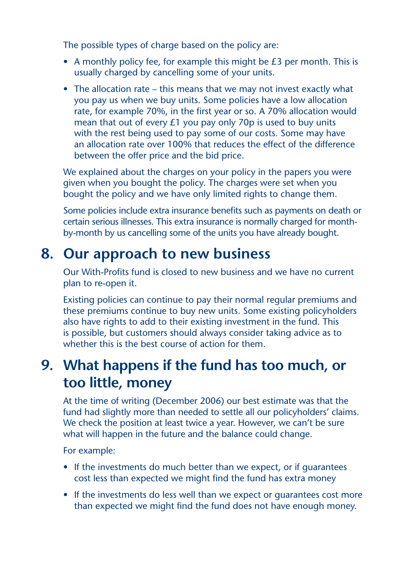The possible types of charge based on the policy are:

- A monthly policy fee, for example this might be  $E_3$  per month. This is usually charged by cancelling some of your units.
- The allocation rate this means that we may not invest exactly what you pay us when we buy units. Some policies have a low allocation rate, for example 70%, in the first year or so. A 70% allocation would mean that out of every £1 you pay only 70p is used to buy units with the rest being used to pay some of our costs. Some may have an allocation rate over 100% that reduces the effect of the difference between the offer price and the bid price.

We explained about the charges on your policy in the papers you were given when you bought the policy. The charges were set when you bought the policy and we have only limited rights to change them.

 Some policies include extra insurance benefits such as payments on death or certain serious illnesses. This extra insurance is normally charged for monthby-month by us cancelling some of the units you have already bought.

# **8. Our approach to new business**

 Our With-Profits fund is closed to new business and we have no current plan to re-open it.

 Existing policies can continue to pay their normal regular premiums and these premiums continue to buy new units. Some existing policyholders also have rights to add to their existing investment in the fund. This is possible, but customers should always consider taking advice as to whether this is the best course of action for them.

# **9. What happens if the fund has too much, or too little, money**

 At the time of writing (December 2006) our best estimate was that the fund had slightly more than needed to settle all our policyholders' claims. We check the position at least twice a year. However, we can't be sure what will happen in the future and the balance could change.

For example:

- If the investments do much better than we expect, or if quarantees cost less than expected we might find the fund has extra money
- If the investments do less well than we expect or guarantees cost more than expected we might find the fund does not have enough money.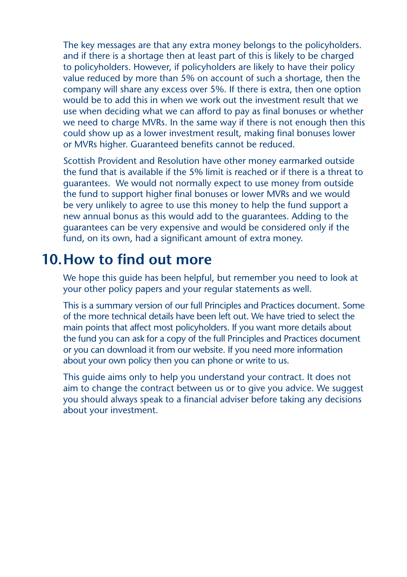The key messages are that any extra money belongs to the policyholders. and if there is a shortage then at least part of this is likely to be charged to policyholders. However, if policyholders are likely to have their policy value reduced by more than 5% on account of such a shortage, then the company will share any excess over 5%. If there is extra, then one option would be to add this in when we work out the investment result that we use when deciding what we can afford to pay as final bonuses or whether we need to charge MVRs. In the same way if there is not enough then this could show up as a lower investment result, making final bonuses lower or MVRs higher. Guaranteed benefits cannot be reduced.

 Scottish Provident and Resolution have other money earmarked outside the fund that is available if the 5% limit is reached or if there is a threat to guarantees. We would not normally expect to use money from outside the fund to support higher final bonuses or lower MVRs and we would be very unlikely to agree to use this money to help the fund support a new annual bonus as this would add to the guarantees. Adding to the guarantees can be very expensive and would be considered only if the fund, on its own, had a significant amount of extra money.

### **10.How to find out more**

 We hope this guide has been helpful, but remember you need to look at your other policy papers and your regular statements as well.

 This is a summary version of our full Principles and Practices document. Some of the more technical details have been left out. We have tried to select the main points that affect most policyholders. If you want more details about the fund you can ask for a copy of the full Principles and Practices document or you can download it from our website. If you need more information about your own policy then you can phone or write to us.

 This guide aims only to help you understand your contract. It does not aim to change the contract between us or to give you advice. We suggest you should always speak to a financial adviser before taking any decisions about your investment.